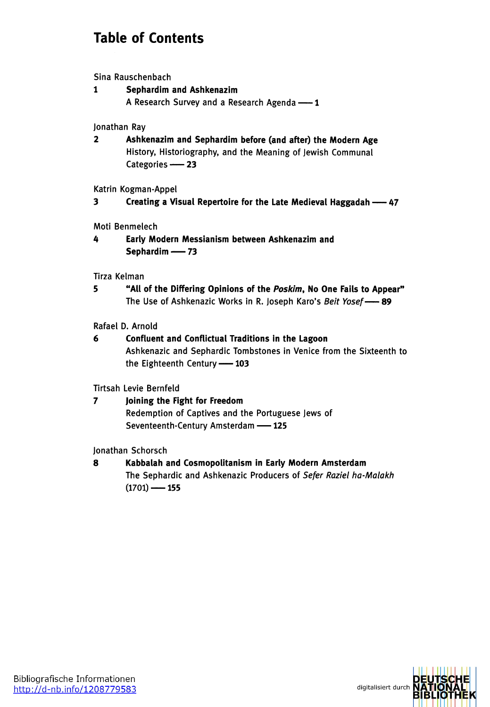## **Table of Contents**

Sina Rauschenbach

**1 Sephardim and Ashkenazim** <sup>A</sup> Research Survey and <sup>a</sup> Research Agenda —**<sup>1</sup>**

Jonathan Ray

**2 Ashkenazim and Sephardim before (and after) the Modern Age** History, Historiography, and the Meaning of Jewish Communal Categories **-- 23** 

Katrin Kogman-Appel

**<sup>3</sup> Creating <sup>a</sup> Visual Repertoire for the Late Medieval Haggadah —<sup>47</sup>**

Moti Benmelech

**4 Early Modern Messianism between Ashkenazim and Sephardim —<sup>73</sup>**

## Tirza Kelman

**5 "All of the Differing Opinions of the** *Poskim,* **No One Fails to Appear"** The Use of Ashkenazic Works in R. Joseph Karo'<sup>s</sup> *Beit Yosef—***<sup>89</sup>**

Rafael D. Arnold

**6 Confluent and Conflictual Traditions in the Lagoon** Ashkenazic and Sephardic Tombstones in Venice from the Sixteenth to the Eighteenth Century—**<sup>103</sup>**

Tirtsah Levie Bernfeld

**7 Joining the Fight for Freedom** Redemption of Captives and the Portuguese Jews of Seventeenth-Century Amsterdam —**<sup>125</sup>**

Jonathan Schorsch

**8 Kabbalah and Cosmopolitanism in Early Modern Amsterdam** The Sephardic and Ashkenazic Producers of *Sefer Raziel ha-Malakh* (1701) —**<sup>155</sup>**